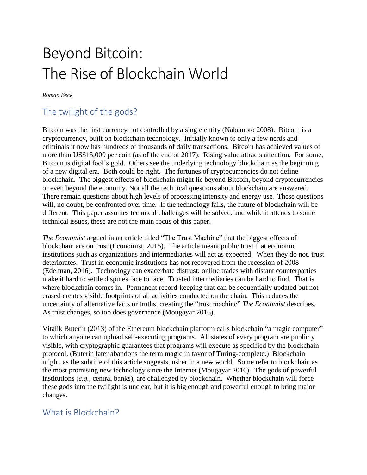# Beyond Bitcoin: The Rise of Blockchain World

*Roman Beck*

## The twilight of the gods?

Bitcoin was the first currency not controlled by a single entity (Nakamoto 2008). Bitcoin is a cryptocurrency, built on blockchain technology. Initially known to only a few nerds and criminals it now has hundreds of thousands of daily transactions. Bitcoin has achieved values of more than US\$15,000 per coin (as of the end of 2017). Rising value attracts attention. For some, Bitcoin is digital fool's gold. Others see the underlying technology blockchain as the beginning of a new digital era. Both could be right. The fortunes of cryptocurrencies do not define blockchain. The biggest effects of blockchain might lie beyond Bitcoin, beyond cryptocurrencies or even beyond the economy. Not all the technical questions about blockchain are answered. There remain questions about high levels of processing intensity and energy use. These questions will, no doubt, be confronted over time. If the technology fails, the future of blockchain will be different. This paper assumes technical challenges will be solved, and while it attends to some technical issues, these are not the main focus of this paper.

*The Economist* argued in an article titled "The Trust Machine" that the biggest effects of blockchain are on trust (Economist, 2015). The article meant public trust that economic institutions such as organizations and intermediaries will act as expected. When they do not, trust deteriorates. Trust in economic institutions has not recovered from the recession of 2008 (Edelman, 2016). Technology can exacerbate distrust: online trades with distant counterparties make it hard to settle disputes face to face. Trusted intermediaries can be hard to find. That is where blockchain comes in. Permanent record-keeping that can be sequentially updated but not erased creates visible footprints of all activities conducted on the chain. This reduces the uncertainty of alternative facts or truths, creating the "trust machine" *The Economist* describes. As trust changes, so too does governance (Mougayar 2016).

Vitalik Buterin (2013) of the Ethereum blockchain platform calls blockchain "a magic computer" to which anyone can upload self-executing programs. All states of every program are publicly visible, with cryptographic guarantees that programs will execute as specified by the blockchain protocol. (Buterin later abandons the term magic in favor of Turing-complete.) Blockchain might, as the subtitle of this article suggests, usher in a new world. Some refer to blockchain as the most promising new technology since the Internet (Mougayar 2016). The gods of powerful institutions (*e.g.*, central banks), are challenged by blockchain. Whether blockchain will force these gods into the twilight is unclear, but it is big enough and powerful enough to bring major changes.

#### What is Blockchain?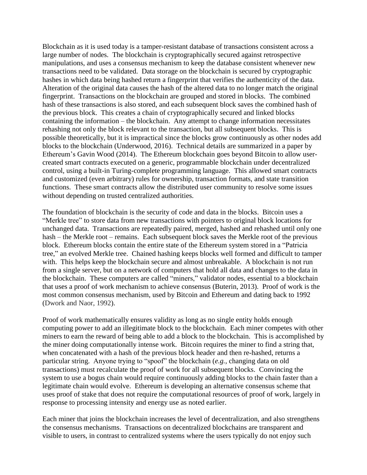Blockchain as it is used today is a tamper-resistant database of transactions consistent across a large number of nodes. The blockchain is cryptographically secured against retrospective manipulations, and uses a consensus mechanism to keep the database consistent whenever new transactions need to be validated. Data storage on the blockchain is secured by cryptographic hashes in which data being hashed return a fingerprint that verifies the authenticity of the data. Alteration of the original data causes the hash of the altered data to no longer match the original fingerprint. Transactions on the blockchain are grouped and stored in blocks. The combined hash of these transactions is also stored, and each subsequent block saves the combined hash of the previous block. This creates a chain of cryptographically secured and linked blocks containing the information – the blockchain. Any attempt to change information necessitates rehashing not only the block relevant to the transaction, but all subsequent blocks. This is possible theoretically, but it is impractical since the blocks grow continuously as other nodes add blocks to the blockchain (Underwood, 2016). Technical details are summarized in a paper by Ethereum's Gavin Wood (2014). The Ethereum blockchain goes beyond Bitcoin to allow usercreated smart contracts executed on a generic, programmable blockchain under decentralized control, using a built-in Turing-complete programming language. This allowed smart contracts and customized (even arbitrary) rules for ownership, transaction formats, and state transition functions. These smart contracts allow the distributed user community to resolve some issues without depending on trusted centralized authorities.

The foundation of blockchain is the security of code and data in the blocks. Bitcoin uses a "Merkle tree" to store data from new transactions with pointers to original block locations for unchanged data. Transactions are repeatedly paired, merged, hashed and rehashed until only one hash – the Merkle root – remains. Each subsequent block saves the Merkle root of the previous block. Ethereum blocks contain the entire state of the Ethereum system stored in a "Patricia tree," an evolved Merkle tree. Chained hashing keeps blocks well formed and difficult to tamper with. This helps keep the blockchain secure and almost unbreakable. A blockchain is not run from a single server, but on a network of computers that hold all data and changes to the data in the blockchain. These computers are called "miners," validator nodes, essential to a blockchain that uses a proof of work mechanism to achieve consensus (Buterin, 2013). Proof of work is the most common consensus mechanism, used by Bitcoin and Ethereum and dating back to 1992 (Dwork and Naor, 1992).

Proof of work mathematically ensures validity as long as no single entity holds enough computing power to add an illegitimate block to the blockchain. Each miner competes with other miners to earn the reward of being able to add a block to the blockchain. This is accomplished by the miner doing computationally intense work. Bitcoin requires the miner to find a string that, when concatenated with a hash of the previous block header and then re-hashed, returns a particular string. Anyone trying to "spoof" the blockchain (*e.g.,* changing data on old transactions) must recalculate the proof of work for all subsequent blocks. Convincing the system to use a bogus chain would require continuously adding blocks to the chain faster than a legitimate chain would evolve. Ethereum is developing an alternative consensus scheme that uses proof of stake that does not require the computational resources of proof of work, largely in response to processing intensity and energy use as noted earlier.

Each miner that joins the blockchain increases the level of decentralization, and also strengthens the consensus mechanisms. Transactions on decentralized blockchains are transparent and visible to users, in contrast to centralized systems where the users typically do not enjoy such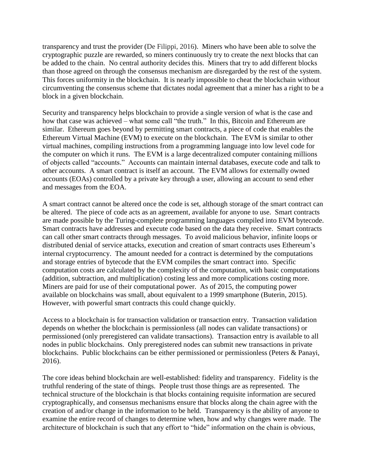transparency and trust the provider (De Filippi, 2016). Miners who have been able to solve the cryptographic puzzle are rewarded, so miners continuously try to create the next blocks that can be added to the chain. No central authority decides this. Miners that try to add different blocks than those agreed on through the consensus mechanism are disregarded by the rest of the system. This forces uniformity in the blockchain. It is nearly impossible to cheat the blockchain without circumventing the consensus scheme that dictates nodal agreement that a miner has a right to be a block in a given blockchain.

Security and transparency helps blockchain to provide a single version of what is the case and how that case was achieved – what some call "the truth." In this, Bitcoin and Ethereum are similar. Ethereum goes beyond by permitting smart contracts, a piece of code that enables the Ethereum Virtual Machine (EVM) to execute on the blockchain. The EVM is similar to other virtual machines, compiling instructions from a programming language into low level code for the computer on which it runs. The EVM is a large decentralized computer containing millions of objects called "accounts." Accounts can maintain internal databases, execute code and talk to other accounts. A smart contract is itself an account. The EVM allows for externally owned accounts (EOAs) controlled by a private key through a user, allowing an account to send ether and messages from the EOA.

A smart contract cannot be altered once the code is set, although storage of the smart contract can be altered. The piece of code acts as an agreement, available for anyone to use. Smart contracts are made possible by the Turing-complete programming languages compiled into EVM bytecode. Smart contracts have addresses and execute code based on the data they receive. Smart contracts can call other smart contracts through messages. To avoid malicious behavior, infinite loops or distributed denial of service attacks, execution and creation of smart contracts uses Ethereum's internal cryptocurrency. The amount needed for a contract is determined by the computations and storage entries of bytecode that the EVM compiles the smart contract into. Specific computation costs are calculated by the complexity of the computation, with basic computations (addition, subtraction, and multiplication) costing less and more complications costing more. Miners are paid for use of their computational power. As of 2015, the computing power available on blockchains was small, about equivalent to a 1999 smartphone (Buterin, 2015). However, with powerful smart contracts this could change quickly.

Access to a blockchain is for transaction validation or transaction entry. Transaction validation depends on whether the blockchain is permissionless (all nodes can validate transactions) or permissioned (only preregistered can validate transactions). Transaction entry is available to all nodes in public blockchains. Only preregistered nodes can submit new transactions in private blockchains. Public blockchains can be either permissioned or permissionless (Peters & Panayi, 2016).

The core ideas behind blockchain are well-established: fidelity and transparency. Fidelity is the truthful rendering of the state of things. People trust those things are as represented. The technical structure of the blockchain is that blocks containing requisite information are secured cryptographically, and consensus mechanisms ensure that blocks along the chain agree with the creation of and/or change in the information to be held. Transparency is the ability of anyone to examine the entire record of changes to determine when, how and why changes were made. The architecture of blockchain is such that any effort to "hide" information on the chain is obvious,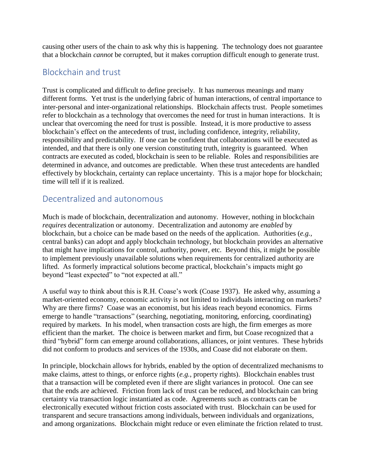causing other users of the chain to ask why this is happening. The technology does not guarantee that a blockchain *cannot* be corrupted, but it makes corruption difficult enough to generate trust.

#### Blockchain and trust

Trust is complicated and difficult to define precisely. It has numerous meanings and many different forms. Yet trust is the underlying fabric of human interactions, of central importance to inter-personal and inter-organizational relationships. Blockchain affects trust. People sometimes refer to blockchain as a technology that overcomes the need for trust in human interactions. It is unclear that overcoming the need for trust is possible. Instead, it is more productive to assess blockchain's effect on the antecedents of trust, including confidence, integrity, reliability, responsibility and predictability. If one can be confident that collaborations will be executed as intended, and that there is only one version constituting truth, integrity is guaranteed. When contracts are executed as coded, blockchain is seen to be reliable. Roles and responsibilities are determined in advance, and outcomes are predictable. When these trust antecedents are handled effectively by blockchain, certainty can replace uncertainty. This is a major hope for blockchain; time will tell if it is realized.

#### Decentralized and autonomous

Much is made of blockchain, decentralization and autonomy. However, nothing in blockchain *requires* decentralization or autonomy. Decentralization and autonomy are *enabled* by blockchain, but a choice can be made based on the needs of the application. Authorities (*e.g.,* central banks) can adopt and apply blockchain technology, but blockchain provides an alternative that might have implications for control, authority, power, etc. Beyond this, it might be possible to implement previously unavailable solutions when requirements for centralized authority are lifted. As formerly impractical solutions become practical, blockchain's impacts might go beyond "least expected" to "not expected at all."

A useful way to think about this is R.H. Coase's work (Coase 1937). He asked why, assuming a market-oriented economy, economic activity is not limited to individuals interacting on markets? Why are there firms? Coase was an economist, but his ideas reach beyond economics. Firms emerge to handle "transactions" (searching, negotiating, monitoring, enforcing, coordinating) required by markets. In his model, when transaction costs are high, the firm emerges as more efficient than the market. The choice is between market and firm, but Coase recognized that a third "hybrid" form can emerge around collaborations, alliances, or joint ventures. These hybrids did not conform to products and services of the 1930s, and Coase did not elaborate on them.

In principle, blockchain allows for hybrids, enabled by the option of decentralized mechanisms to make claims, attest to things, or enforce rights (*e.g.*, property rights). Blockchain enables trust that a transaction will be completed even if there are slight variances in protocol. One can see that the ends are achieved. Friction from lack of trust can be reduced, and blockchain can bring certainty via transaction logic instantiated as code. Agreements such as contracts can be electronically executed without friction costs associated with trust. Blockchain can be used for transparent and secure transactions among individuals, between individuals and organizations, and among organizations. Blockchain might reduce or even eliminate the friction related to trust.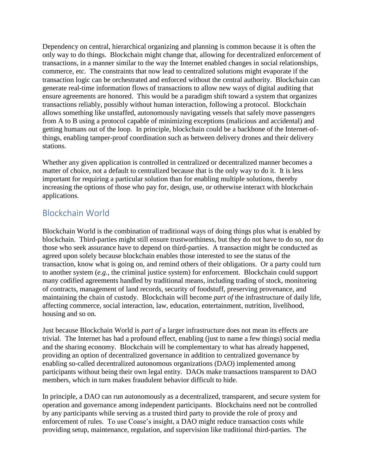Dependency on central, hierarchical organizing and planning is common because it is often the only way to do things. Blockchain might change that, allowing for decentralized enforcement of transactions, in a manner similar to the way the Internet enabled changes in social relationships, commerce, etc. The constraints that now lead to centralized solutions might evaporate if the transaction logic can be orchestrated and enforced without the central authority. Blockchain can generate real-time information flows of transactions to allow new ways of digital auditing that ensure agreements are honored. This would be a paradigm shift toward a system that organizes transactions reliably, possibly without human interaction, following a protocol. Blockchain allows something like unstaffed, autonomously navigating vessels that safely move passengers from A to B using a protocol capable of minimizing exceptions (malicious and accidental) and getting humans out of the loop. In principle, blockchain could be a backbone of the Internet-ofthings, enabling tamper-proof coordination such as between delivery drones and their delivery stations.

Whether any given application is controlled in centralized or decentralized manner becomes a matter of choice, not a default to centralized because that is the only way to do it. It is less important for requiring a particular solution than for enabling multiple solutions, thereby increasing the options of those who pay for, design, use, or otherwise interact with blockchain applications.

### Blockchain World

Blockchain World is the combination of traditional ways of doing things plus what is enabled by blockchain. Third-parties might still ensure trustworthiness, but they do not have to do so, nor do those who seek assurance have to depend on third-parties. A transaction might be conducted as agreed upon solely because blockchain enables those interested to see the status of the transaction, know what is going on, and remind others of their obligations. Or a party could turn to another system (*e.g.*, the criminal justice system) for enforcement. Blockchain could support many codified agreements handled by traditional means, including trading of stock, monitoring of contracts, management of land records, security of foodstuff, preserving provenance, and maintaining the chain of custody. Blockchain will become *part of* the infrastructure of daily life, affecting commerce, social interaction, law, education, entertainment, nutrition, livelihood, housing and so on.

Just because Blockchain World is *part of* a larger infrastructure does not mean its effects are trivial. The Internet has had a profound effect, enabling (just to name a few things) social media and the sharing economy. Blockchain will be complementary to what has already happened, providing an option of decentralized governance in addition to centralized governance by enabling so-called decentralized autonomous organizations (DAO) implemented among participants without being their own legal entity. DAOs make transactions transparent to DAO members, which in turn makes fraudulent behavior difficult to hide.

In principle, a DAO can run autonomously as a decentralized, transparent, and secure system for operation and governance among independent participants. Blockchains need not be controlled by any participants while serving as a trusted third party to provide the role of proxy and enforcement of rules. To use Coase's insight, a DAO might reduce transaction costs while providing setup, maintenance, regulation, and supervision like traditional third-parties. The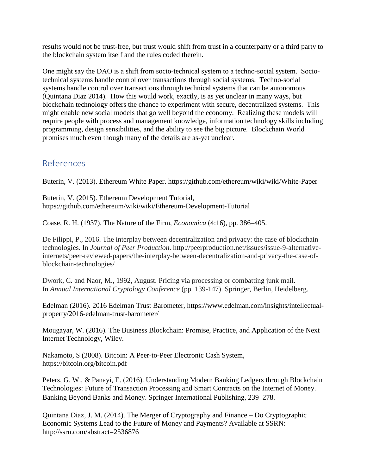results would not be trust-free, but trust would shift from trust in a counterparty or a third party to the blockchain system itself and the rules coded therein.

One might say the DAO is a shift from socio-technical system to a techno-social system. Sociotechnical systems handle control over transactions through social systems. Techno-social systems handle control over transactions through technical systems that can be autonomous (Quintana Diaz 2014). How this would work, exactly, is as yet unclear in many ways, but blockchain technology offers the chance to experiment with secure, decentralized systems. This might enable new social models that go well beyond the economy. Realizing these models will require people with process and management knowledge, information technology skills including programming, design sensibilities, and the ability to see the big picture. Blockchain World promises much even though many of the details are as-yet unclear.

## References

Buterin, V. (2013). Ethereum White Paper. https://github.com/ethereum/wiki/wiki/White-Paper

Buterin, V. (2015). Ethereum Development Tutorial, https://github.com/ethereum/wiki/wiki/Ethereum-Development-Tutorial

Coase, R. H. (1937). The Nature of the Firm, *Economica* (4:16), pp. 386–405.

De Filippi, P., 2016. The interplay between decentralization and privacy: the case of blockchain technologies. In *Journal of Peer Production*. http://peerproduction.net/issues/issue-9-alternativeinternets/peer-reviewed-papers/the-interplay-between-decentralization-and-privacy-the-case-ofblockchain-technologies/

Dwork, C. and Naor, M., 1992, August. Pricing via processing or combatting junk mail. In *Annual International Cryptology Conference* (pp. 139-147). Springer, Berlin, Heidelberg.

Edelman (2016). 2016 Edelman Trust Barometer, https://www.edelman.com/insights/intellectualproperty/2016-edelman-trust-barometer/

Mougayar, W. (2016). The Business Blockchain: Promise, Practice, and Application of the Next Internet Technology, Wiley.

Nakamoto, S (2008). Bitcoin: A Peer-to-Peer Electronic Cash System, https://bitcoin.org/bitcoin.pdf

Peters, G. W., & Panayi, E. (2016). Understanding Modern Banking Ledgers through Blockchain Technologies: Future of Transaction Processing and Smart Contracts on the Internet of Money. Banking Beyond Banks and Money. Springer International Publishing, 239–278.

Quintana Diaz, J. M. (2014). The Merger of Cryptography and Finance – Do Cryptographic Economic Systems Lead to the Future of Money and Payments? Available at SSRN: http://ssrn.com/abstract=2536876